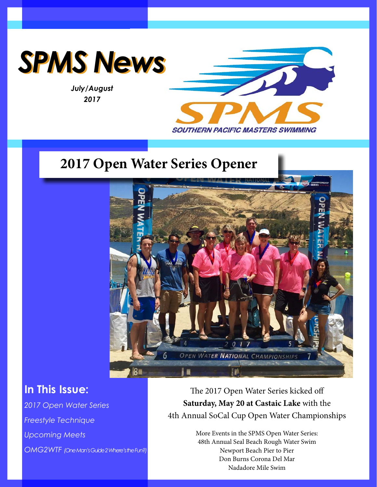

*July/August 2017*



# **2017 Open Water Series Opener**



# **In This Issue:**

*2017 Open Water Series Freestyle Technique Upcoming Meets OMG2WTF (One Man's Guide 2 Where's the Fun?)* 

The 2017 Open Water Series kicked off **Saturday, May 20 at Castaic Lake** with the 4th Annual SoCal Cup Open Water Championships

> More Events in the SPMS Open Water Series: 48th Annual Seal Beach Rough Water Swim Newport Beach Pier to Pier Don Burns Corona Del Mar Nadadore Mile Swim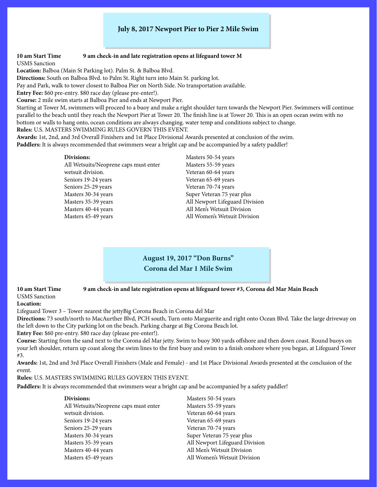### **July 8, 2017 Newport Pier to Pier 2 Mile Swim**

#### **10 am Start Time 9 am check-in and late registration opens at lifeguard tower M**

USMS Sanction

**Location:** Balboa (Main St Parking lot). Palm St. & Balboa Blvd.

**Directions:** South on Balboa Blvd. to Palm St. Right turn into Main St. parking lot.

Pay and Park, walk to tower closest to Balboa Pier on North Side. No transportation available.

**Entry Fee:** \$60 pre-entry. \$80 race day (please pre-enter!).

**Course:** 2 mile swim starts at Balboa Pier and ends at Newport Pier.

Starting at Tower M, swimmers will proceed to a buoy and make a right shoulder turn towards the Newport Pier. Swimmers will continue parallel to the beach until they reach the Newport Pier at Tower 20. The finish line is at Tower 20. This is an open ocean swim with no bottom or walls to hang onto, ocean conditions are always changing. water temp and conditions subject to change. **Rules:** U.S. MASTERS SWIMMING RULES GOVERN THIS EVENT.

**Awards:** 1st, 2nd, and 3rd Overall Finishers and 1st Place Divisional Awards presented at conclusion of the swim. **Paddlers:** It is always recommended that swimmers wear a bright cap and be accompanied by a safety paddler!

#### **Divisions:**

Masters 50-54 years Masters 55-59 years Veteran 60-64 years Veteran 65-69 years Veteran 70-74 years Super Veteran 75 year plus All Newport Lifeguard Division All Men's Wetsuit Division All Women's Wetsuit Division

**August 19, 2017 "Don Burns" Corona del Mar 1 Mile Swim**

**10 am Start Time 9 am check-in and late registration opens at lifeguard tower #3, Corona del Mar Main Beach**

#### USMS Sanction **Location:**

Lifeguard Tower 3 – Tower nearest the jettyBig Corona Beach in Corona del Mar

**Directions:** 73 south/north to MacAurther Blvd, PCH south, Turn onto Marguerite and right onto Ocean Blvd. Take the large driveway on the left down to the City parking lot on the beach. Parking charge at Big Corona Beach lot.

**Entry Fee:** \$60 pre-entry. \$80 race day (please pre-enter!).

**Course:** Starting from the sand next to the Corona del Mar jetty. Swim to buoy 300 yards offshore and then down coast. Round buoys on your left shoulder, return up coast along the swim lines to the first buoy and swim to a finish onshore where you began, at Lifeguard Tower #3.

**Awards:** 1st, 2nd and 3rd Place Overall Finishers (Male and Female) - and 1st Place Divisional Awards presented at the conclusion of the event.

**Rules:** U.S. MASTERS SWIMMING RULES GOVERN THIS EVENT.

**Paddlers:** It is always recommended that swimmers wear a bright cap and be accompanied by a safety paddler!

| Divisions:                            |
|---------------------------------------|
| All Wetsuits/Neoprene caps must enter |
| wetsuit division.                     |
| Seniors 19-24 years                   |
| Seniors 25-29 years                   |
| Masters 30-34 years                   |
| Masters 35-39 years                   |
| Masters 40-44 years                   |
| Masters 45-49 years                   |

Masters 50-54 years Masters 55-59 years Veteran 60-64 years Veteran 65-69 years Veteran 70-74 years Super Veteran 75 year plus All Newport Lifeguard Division All Men's Wetsuit Division All Women's Wetsuit Division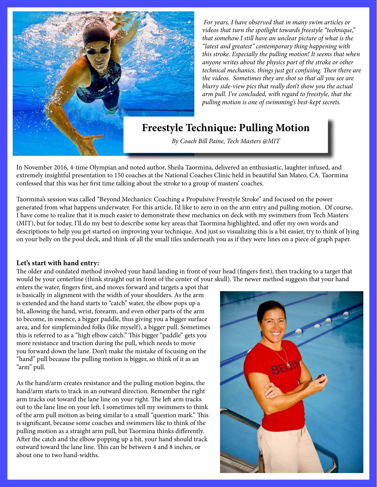

*For years, I have observed that in many swim articles or videos that turn the spotlight towards freestyle "technique," that somehow I still have an unclear picture of what is the "latest and greatest" contemporary thing happening with this stroke. Especially the pulling motion! It seems that when anyone writes about the physics part of the stroke or other technical mechanics, things just get confusing. Then there are the videos. Sometimes they are shot so that all you see are blurry side-view pics that really don't show you the actual arm pull. I've concluded, with regard to freestyle, that the pulling motion is one of swimming's best-kept secrets.*

# **Freestyle Technique: Pulling Motion**

*By Coach Bill Paine, Tech Masters @MIT*

In November 2016, 4-time Olympian and noted author, Sheila Taormina, delivered an enthusiastic, laughter infused, and extremely insightful presentation to 150 coaches at the National Coaches Clinic held in beautiful San Mateo, CA. Taormina confessed that this was her first time talking about the stroke to a group of masters' coaches.

Taormina's session was called "Beyond Mechanics: Coaching a Propulsive Freestyle Stroke" and focused on the power generated from what happens underwater. For this article, I'd like to zero in on the arm entry and pulling motion. Of course, I have come to realize that it is much easier to demonstrate these mechanics on deck with my swimmers from Tech Masters (MIT), but for today, I'll do my best to describe some key areas that Taormina highlighted, and offer my own words and descriptions to help you get started on improving your technique. And just so visualizing this is a bit easier, try to think of lying on your belly on the pool deck, and think of all the small tiles underneath you as if they were lines on a piece of graph paper.

### **Let's start with hand entry:**

The older and outdated method involved your hand landing in front of your head (fingers first), then tracking to a target that would be your centerline (think straight out in front of the center of your skull). The newer method suggests that your hand

enters the water, fingers first, and moves forward and targets a spot that is basically in alignment with the width of your shoulders. As the arm is extended and the hand starts to "catch" water, the elbow pops up a bit, allowing the hand, wrist, forearm, and even other parts of the arm to become, in essence, a bigger paddle, thus giving you a bigger surface area, and for simpleminded folks (like myself), a bigger pull. Sometimes this is referred to as a "high elbow catch." This bigger "paddle" gets you more resistance and traction during the pull, which needs to move you forward down the lane. Don't make the mistake of focusing on the "hand" pull because the pulling motion is bigger, so think of it as an "arm" pull.

As the hand/arm creates resistance and the pulling motion begins, the hand/arm starts to track in an outward direction. Remember the right arm tracks out toward the lane line on your right. The left arm tracks out to the lane line on your left. I sometimes tell my swimmers to think of the arm pull motion as being similar to a small "question mark." This is significant, because some coaches and swimmers like to think of the pulling motion as a straight arm pull, but Taormina thinks differently. After the catch and the elbow popping up a bit, your hand should track outward toward the lane line. This can be between 4 and 8 inches, or about one to two hand-widths.

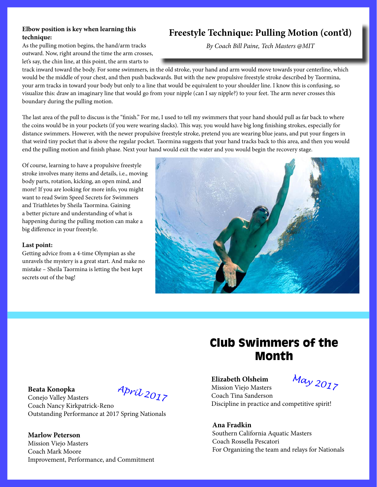### **Elbow position is key when learning this technique:**

As the pulling motion begins, the hand/arm tracks outward. Now, right around the time the arm crosses, let's say, the chin line, at this point, the arm starts to

# **Freestyle Technique: Pulling Motion (cont'd)**

*By Coach Bill Paine, Tech Masters @MIT*

track inward toward the body. For some swimmers, in the old stroke, your hand and arm would move towards your centerline, which would be the middle of your chest, and then push backwards. But with the new propulsive freestyle stroke described by Taormina, your arm tracks in toward your body but only to a line that would be equivalent to your shoulder line. I know this is confusing, so visualize this: draw an imaginary line that would go from your nipple (can I say nipple?) to your feet. The arm never crosses this boundary during the pulling motion.

The last area of the pull to discuss is the "finish." For me, I used to tell my swimmers that your hand should pull as far back to where the coins would be in your pockets (if you were wearing slacks). This way, you would have big long finishing strokes, especially for distance swimmers. However, with the newer propulsive freestyle stroke, pretend you are wearing blue jeans, and put your fingers in that weird tiny pocket that is above the regular pocket. Taormina suggests that your hand tracks back to this area, and then you would end the pulling motion and finish phase. Next your hand would exit the water and you would begin the recovery stage.

Of course, learning to have a propulsive freestyle stroke involves many items and details, i.e., moving body parts, rotation, kicking, an open mind, and more! If you are looking for more info, you might want to read Swim Speed Secrets for Swimmers and Triathletes by Sheila Taormina. Gaining a better picture and understanding of what is happening during the pulling motion can make a big difference in your freestyle.

### **Last point:**

Getting advice from a 4-time Olympian as she unravels the mystery is a great start. And make no mistake – Sheila Taormina is letting the best kept secrets out of the bag!



#### **Beata Konopka**

Conejo Valley Masters Coach Nancy Kirkpatrick-Reno Outstanding Performance at 2017 Spring Nationals

*April 2017*

**Marlow Peterson** Mission Viejo Masters Coach Mark Moore Improvement, Performance, and Commitment

# Club Swimmers of the Month

**Elizabeth Olsheim** Mission Viejo Masters Coach Tina Sanderson

*May 2017*

Discipline in practice and competitive spirit!

**Ana Fradkin** Southern California Aquatic Masters Coach Rossella Pescatori For Organizing the team and relays for Nationals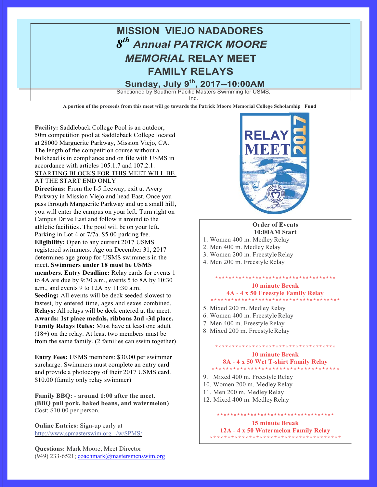

**A portion of the proceeds from this meet will go towards the Patrick Moore Memorial College Scholarship Fund**

**Facility:** Saddleback College Pool is an outdoor, 50m competition pool at Saddleback College located at 28000 Marguerite Parkway, Mission Viejo, CA. The length of the competition course without a bulkhead is in compliance and on file with USMS in accordance with articles 105.1.7 and 107.2.1. STARTING BLOCKS FOR THIS MEET WILL BE AT THE START END ONLY.

**Directions:** From the I-5 freeway, exit at Avery Parkway in Mission Viejo and head East. Once you pass through Marguerite Parkway and up a small hill, you will enter the campus on your left. Turn right on Campus Drive East and follow it around to the athletic facilities. The pool will be on your left. Parking in Lot 4 or 7/7a. \$5.00 parking fee. **Eligibility:** Open to any current 2017 USMS registered swimmers. Age on December 31, 2017 determines age group for USMS swimmers in the meet. **Swimmers under 18 must be USMS members. Entry Deadline:** Relay cards for events 1 to 4A are due by 9:30 a.m., events 5 to 8A by 10:30 a.m., and events 9 to 12A by 11:30 a.m. **Seeding:** All events will be deck seeded slowest to fastest, by entered time, ages and sexes combined. **Relays:** All relays will be deck entered at the meet. **Awards: 1st place medals, ribbons 2nd -3d place. Family Relays Rules:** Must have at least one adult (18+) on the relay. At least two members must be from the same family. (2 families can swim together)

**Entry Fees:** USMS members: \$30.00 per swimmer surcharge. Swimmers must complete an entry card and provide a photocopy of their 2017 USMS card. \$10.00 (family only relay swimmer)

**Family BBQ:** - **around 1:00 after the meet. (BBQ pull pork, baked beans, and watermelon)**  Cost: \$10.00 per person.

**Online Entries:** Sign-up early at http://www.spmasterswim.org /w/SPMS/

**Questions:** Mark Moore, Meet Director (949) 233-6521; coachmark@mastersmcnswim.org



#### **Order of Events 10:00AM Start**

- 1. Women 400 m. MedleyRelay
- 2. Men 400 m. Medley Relay
- 3. Women 200 m. Freestyle Relay
- 4. Men 200 m. Freestyle Relay

\*\*\*\*\*\*\*\*\*\*\*\*\*\*\*\*\*\*\*\*\*\*\*\*\*\*\*\*\*\*\*\*\*\*\*\* **10 minute Break**

### **4A** - **4 x 50 Freestyle Family Relay** \*\*\*\*\*\*\*\*\*\*\*\*\*\*\*\*\*\*\*\*\*\*\*\*\*\*\*\*\*\*\*\*\*\*\*\*\*\*

- 5. Mixed 200 m. MedleyRelay
- 6. Women 400 m. Freestyle Relay
- 7. Men 400 m. Freestyle Relay
- 8. Mixed 200 m. Freestyle Relay

#### **10 minute Break 8A** - **4 x 50 Wet T-shirt Family Relay** \*\*\*\*\*\*\*\*\*\*\*\*\*\*\*\*\*\*\*\*\*\*\*\*\*\*\*\*\*\*\*\*\*\*\*\*

\*\*\*\*\*\*\*\*\*\*\*\*\*\*\*\*\*\*\*\*\*\*\*\*\*\*\*\*\*\*\*\*\*\*\*\*

- 9. Mixed 400 m. Freestyle Relay
- 10. Women 200 m. MedleyRelay
- 11. Men 200 m. Medley Relay
- 12. Mixed 400 m. Medley Relay

#### **15 minute Break 12A** - **4 x 50 Watermelon Family Relay** \*\*\*\*\*\*\*\*\*\*\*\*\*\*\*\*\*\*\*\*\*\*\*\*\*\*\*\*\*\*\*\*\*\*\*\*\*

\*\*\*\*\*\*\*\*\*\*\*\*\*\*\*\*\*\*\*\*\*\*\*\*\*\*\*\*\*\*\*\*\*\*\*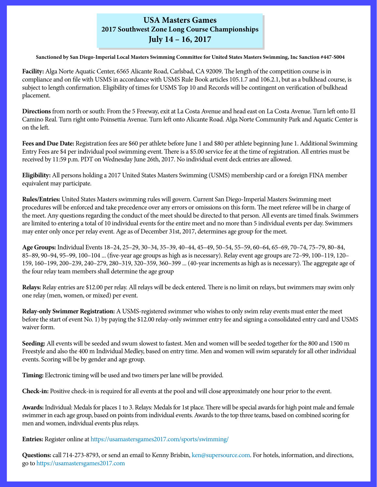## **USA Masters Games 2017 Southwest Zone Long Course Championships July 14 – 16, 2017**

**Sanctioned by San Diego-Imperial Local Masters Swimming Committee for United States Masters Swimming, Inc Sanction #447-S004**

**Facility:** Alga Norte Aquatic Center, 6565 Alicante Road, Carlsbad, CA 92009. The length of the competition course is in compliance and on file with USMS in accordance with USMS Rule Book articles 105.1.7 and 106.2.1, but as a bulkhead course, is subject to length confirmation. Eligibility of times for USMS Top 10 and Records will be contingent on verification of bulkhead placement.

**Directions** from north or south: From the 5 Freeway, exit at La Costa Avenue and head east on La Costa Avenue. Turn left onto El Camino Real. Turn right onto Poinsettia Avenue. Turn left onto Alicante Road. Alga Norte Community Park and Aquatic Center is on the left.

**Fees and Due Date:** Registration fees are \$60 per athlete before June 1 and \$80 per athlete beginning June 1. Additional Swimming Entry Fees are \$4 per individual pool swimming event. There is a \$5.00 service fee at the time of registration. All entries must be received by 11:59 p.m. PDT on Wednesday June 26th, 2017. No individual event deck entries are allowed.

**Eligibility:** All persons holding a 2017 United States Masters Swimming (USMS) membership card or a foreign FINA member equivalent may participate.

**Rules/Entries:** United States Masters swimming rules will govern. Current San Diego-Imperial Masters Swimming meet procedures will be enforced and take precedence over any errors or omissions on this form. The meet referee will be in charge of the meet. Any questions regarding the conduct of the meet should be directed to that person. All events are timed finals. Swimmers are limited to entering a total of 10 individual events for the entire meet and no more than 5 individual events per day. Swimmers may enter only once per relay event. Age as of December 31st, 2017, determines age group for the meet.

**Age Groups:** Individual Events 18–24, 25–29, 30–34, 35–39, 40–44, 45–49, 50–54, 55–59, 60–64, 65–69, 70–74, 75–79, 80–84, 85–89, 90–94, 95–99, 100–104 ... (five-year age groups as high as is necessary). Relay event age groups are 72–99, 100–119, 120– 159, 160–199, 200–239, 240–279, 280–319, 320–359, 360–399 ... (40-year increments as high as is necessary). The aggregate age of the four relay team members shall determine the age group

**Relays:** Relay entries are \$12.00 per relay. All relays will be deck entered. There is no limit on relays, but swimmers may swim only one relay (men, women, or mixed) per event.

**Relay-only Swimmer Registration:** A USMS-registered swimmer who wishes to only swim relay events must enter the meet before the start of event No. 1) by paying the \$12.00 relay-only swimmer entry fee and signing a consolidated entry card and USMS waiver form.

**Seeding:** All events will be seeded and swum slowest to fastest. Men and women will be seeded together for the 800 and 1500 m Freestyle and also the 400 m Individual Medley, based on entry time. Men and women will swim separately for all other individual events. Scoring will be by gender and age group.

**Timing:** Electronic timing will be used and two timers per lane will be provided.

**Check-in:** Positive check-in is required for all events at the pool and will close approximately one hour prior to the event.

**Awards:** Individual: Medals for places 1 to 3. Relays: Medals for 1st place. There will be special awards for high point male and female swimmer in each age group, based on points from individual events. Awards to the top three teams, based on combined scoring for men and women, individual events plus relays.

**Entries:** Register online at<https://usamastersgames2017.com/sports/swimming/>

**Questions:** call 714-273-8793, or send an email to Kenny Brisbin, [ken@supersource.com](mailto:ken%40supersource.com?subject=). For hotels, information, and directions, go to<https://usamastersgames2017.com>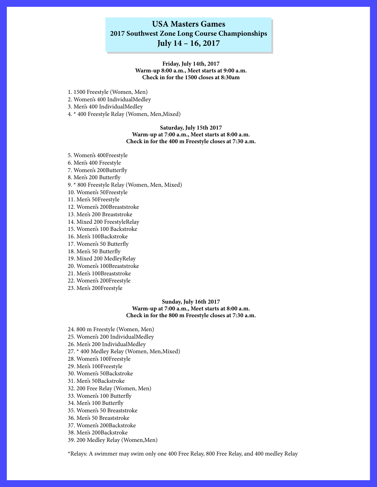# **USA Masters Games 2017 Southwest Zone Long Course Championships**

### **July 14 – 16, 2017**

#### **Friday, July 14th, 2017 Warm-up 8:00 a.m., Meet starts at 9:00 a.m. Check in for the 1500 closes at 8:30am**

- 1. 1500 Freestyle (Women, Men)
- 2. Women's 400 IndividualMedley

3. Men's 400 IndividualMedley

4. \* 400 Freestyle Relay (Women, Men,Mixed)

#### **Saturday, July 15th 2017 Warm-up at 7:00 a.m., Meet starts at 8:00 a.m. Check in for the 400 m Freestyle closes at 7:30 a.m.**

5. Women's 400Freestyle

6. Men's 400 Freestyle

7. Women's 200Butterfly

8. Men's 200 Butterfly

9. \* 800 Freestyle Relay (Women, Men, Mixed)

10. Women's 50Freestyle

11. Men's 50Freestyle

12. Women's 200Breaststroke

13. Men's 200 Breaststroke

14. Mixed 200 FreestyleRelay

15. Women's 100 Backstroke

16. Men's 100Backstroke

17. Women's 50 Butterfly

18. Men's 50 Butterfly

19. Mixed 200 MedleyRelay

20. Women's 100Breaststroke

21. Men's 100Breaststroke

22. Women's 200Freestyle

23. Men's 200Freestyle

#### **Sunday, July 16th 2017 Warm-up at 7:00 a.m., Meet starts at 8:00 a.m. Check in for the 800 m Freestyle closes at 7:30 a.m.**

24. 800 m Freestyle (Women, Men)

25. Women's 200 IndividualMedley

26. Men's 200 IndividualMedley

27. \* 400 Medley Relay (Women, Men,Mixed)

28. Women's 100Freestyle

29. Men's 100Freestyle

30. Women's 50Backstroke

31. Men's 50Backstroke

32. 200 Free Relay (Women, Men)

33. Women's 100 Butterfly

34. Men's 100 Butterfly

35. Women's 50 Breaststroke

36. Men's 50 Breaststroke

37. Women's 200Backstroke

38. Men's 200Backstroke

39. 200 Medley Relay (Women,Men)

\*Relays: A swimmer may swim only one 400 Free Relay, 800 Free Relay, and 400 medley Relay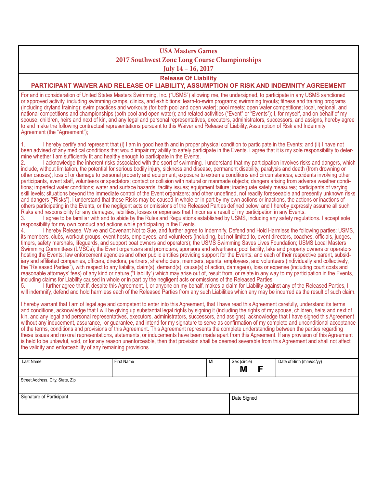# **USA Masters Games 2017 Southwest Zone Long Course Championships**

**July 14 – 16, 2017** 

**Release Of Liability**

#### **PARTICIPANT WAIVER AND RELEASE OF LIABILITY, ASSUMPTION OF RISK AND INDEMNITY AGREEMENT**

For and in consideration of United States Masters Swimming, Inc. ("USMS") allowing me, the undersigned, to participate in any USMS sanctioned or approved activity, including swimming camps, clinics, and exhibitions; learn-to-swim programs; swimming tryouts; fitness and training programs (including dryland training); swim practices and workouts (for both pool and open water); pool meets; open water competitions; local, regional, and national competitions and championships (both pool and open water); and related activities ("Event" or "Events"); I, for myself, and on behalf of my spouse, children, heirs and next of kin, and any legal and personal representatives, executors, administrators, successors, and assigns, hereby agree to and make the following contractual representations pursuant to this Waiver and Release of Liability, Assumption of Risk and Indemnity Agreement (the "Agreement");

1. I hereby certify and represent that (i) I am in good health and in proper physical condition to participate in the Events; and (ii) I have not been advised of any medical conditions that would impair my ability to safely participate in the Events. I agree that it is my sole responsibility to deter-<br>mine whether I am sufficiently fit and healthy enough to particip

2. I acknowledge the inherent risks associated with the sport of swimming. I understand that my participation involves risks and dangers, which include, without limitation, the potential for serious bodily injury, sickness and disease, permanent disability, paralysis and death (from drowning or other causes); loss of or damage to personal property and equipment; exposure to extreme conditions and circumstances; accidents involving other participants, event staff, volunteers or spectators; contact or collision with natural or manmade objects; dangers arising from adverse weather conditions; imperfect water conditions; water and surface hazards; facility issues; equipment failure; inadequate safety measures; participants of varying skill levels; situations beyond the immediate control of the Event organizers; and other undefined, not readily foreseeable and presently unknown risks and dangers ("Risks"). I understand that these Risks may be caused in whole or in part by my own actions or inactions, the actions or inactions of others participating in the Events, or the negligent acts or omissions of the Released Parties defined below, and I hereby expressly assume all such Risks and responsibility for any damages, liabilities, losses or expenses that I incur as a result of my participation in any Events.

3. I agree to be familiar with and to abide by the Rules and Regulations established by USMS, including any safety regulations. I accept sole responsibility for my own conduct and actions while participating in the Events.

4. I hereby Release, Waive and Covenant Not to Sue, and further agree to Indemnify, Defend and Hold Harmless the following parties: USMS, its members, clubs, workout groups, event hosts, employees, and volunteers (including, but not limited to, event directors, coaches, officials, judges, timers, safety marshals, lifeguards, and support boat owners and operators); the USMS Swimming Saves Lives Foundation; USMS Local Masters Swimming Committees (LMSCs); the Event organizers and promoters, sponsors and advertisers; pool facility, lake and property owners or operators hosting the Events; law enforcement agencies and other public entities providing support for the Events; and each of their respective parent, subsidiary and affiliated companies, officers, directors, partners, shareholders, members, agents, employees, and volunteers (individually and collectively, the "Released Parties"), with respect to any liability, claim(s), demand(s), cause(s) of action, damage(s), loss or expense (including court costs and reasonable attorneys' fees) of any kind or nature ("Liability") which may arise out of, result from, or relate in any way to my participation in the Events, including claims for Liability caused in whole or in part by the negligent acts or omissions of the Released Parties.

5. I further agree that if, despite this Agreement, I, or anyone on my behalf, makes a claim for Liability against any of the Released Parties, I will indemnify, defend and hold harmless each of the Released Parties from any such Liabilities which any may be incurred as the result of such claim.

I hereby warrant that I am of legal age and competent to enter into this Agreement, that I have read this Agreement carefully, understand its terms and conditions, acknowledge that I will be giving up substantial legal rights by signing it (including the rights of my spouse, children, heirs and next of kin, and any legal and personal representatives, executors, administrators, successors, and assigns), acknowledge that I have signed this Agreement without any inducement, assurance, or guarantee, and intend for my signature to serve as confirmation of my complete and unconditional acceptance of the terms, conditions and provisions of this Agreement. This Agreement represents the complete understanding between the parties regarding these issues and no oral representations, statements, or inducements have been made apart from this Agreement. If any provision of this Agreement is held to be unlawful, void, or for any reason unenforceable, then that provision shall be deemed severable from this Agreement and shall not affect the validity and enforceability of any remaining provisions.

| Last Name                        | First Name | MI | Sex (circle) | Date of Birth (mm/dd/yy) |  |
|----------------------------------|------------|----|--------------|--------------------------|--|
|                                  |            |    | Μ            |                          |  |
| Street Address, City, State, Zip |            |    |              |                          |  |
|                                  |            |    |              |                          |  |
| Signature of Participant         |            |    | Date Signed  |                          |  |
|                                  |            |    |              |                          |  |
|                                  |            |    |              |                          |  |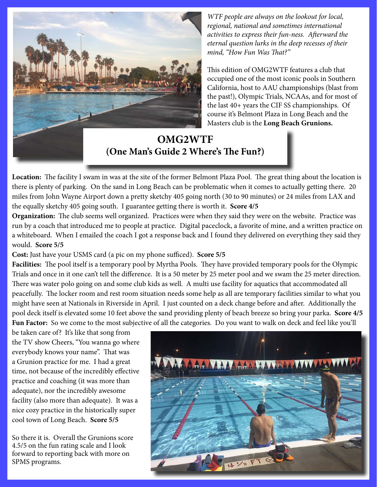

*WTF people are always on the lookout for local, regional, national and sometimes international activities to express their fun-ness. Afterward the eternal question lurks in the deep recesses of their mind, "How Fun Was That?"* 

This edition of OMG2WTF features a club that occupied one of the most iconic pools in Southern California, host to AAU championships (blast from the past!), Olympic Trials, NCAAs, and for most of the last 40+ years the CIF SS championships. Of course it's Belmont Plaza in Long Beach and the Masters club is the **Long Beach Grunions.**

**OMG2WTF (One Man's Guide 2 Where's The Fun?)** 

**Location:** The facility I swam in was at the site of the former Belmont Plaza Pool. The great thing about the location is there is plenty of parking. On the sand in Long Beach can be problematic when it comes to actually getting there. 20 miles from John Wayne Airport down a pretty sketchy 405 going north (30 to 90 minutes) or 24 miles from LAX and the equally sketchy 405 going south. I guarantee getting there is worth it. **Score 4/5**

**Organization:** The club seems well organized. Practices were when they said they were on the website. Practice was run by a coach that introduced me to people at practice. Digital paceclock, a favorite of mine, and a written practice on a whiteboard. When I emailed the coach I got a response back and I found they delivered on everything they said they would. **Score 5/5**

**Cost:** Just have your USMS card (a pic on my phone sufficed). **Score 5/5**

**Facilities:** The pool itself is a temporary pool by Myrtha Pools. They have provided temporary pools for the Olympic Trials and once in it one can't tell the difference. It is a 50 meter by 25 meter pool and we swam the 25 meter direction. There was water polo going on and some club kids as well. A multi use facility for aquatics that accommodated all peacefully. The locker room and rest room situation needs some help as all are temporary facilities similar to what you might have seen at Nationals in Riverside in April. I just counted on a deck change before and after. Additionally the pool deck itself is elevated some 10 feet above the sand providing plenty of beach breeze so bring your parka. **Score 4/5 Fun Factor:** So we come to the most subjective of all the categories. Do you want to walk on deck and feel like you'll

be taken care of? It's like that song from the TV show Cheers, "You wanna go where everybody knows your name". That was a Grunion practice for me. I had a great time, not because of the incredibly effective practice and coaching (it was more than adequate), nor the incredibly awesome facility (also more than adequate). It was a nice cozy practice in the historically super cool town of Long Beach. **Score 5/5**

So there it is. Overall the Grunions score 4.5/5 on the fun rating scale and I look forward to reporting back with more on SPMS programs.